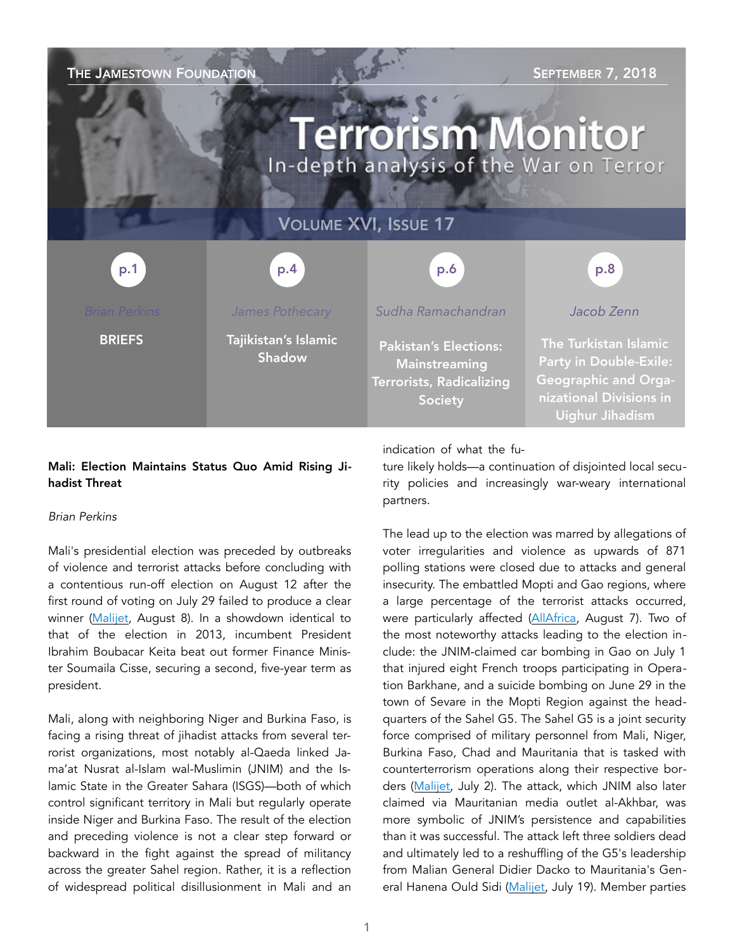### THE JAMESTOWN FOUNDATION SEPTEMBER 7, 2018 **Terrorism Monitor** In-depth analysis of the War on Terror VOLUME XVI, ISSUE 17 p.4 p.1 p.1 p.1 p.2 p.4 p.4 p.6 p.6 p.6 p.8 p.8 *Jacob Zenn James Pothecary Sudha Ramachandran*  **BRIEFS** Tajikistan's Islamic The Turkistan Islamic Pakistan's Elections: Shadow Party in Double-Exile: **Mainstreaming** Geographic and Orga-Terrorists, Radicalizing nizational Divisions in Society Uighur Jihadism

### Mali: Election Maintains Status Quo Amid Rising Jihadist Threat

#### *Brian Perkins*

Mali's presidential election was preceded by outbreaks of violence and terrorist attacks before concluding with a contentious run-off election on August 12 after the first round of voting on July 29 failed to produce a clear winner ([Malijet,](https://malijet.com/elections-presidentielles-et-legisliatives-au-mali/214555-pr%C3%A9sidentielle-au-mali-ibk-et-souma%C3%AFla-ciss%C3%A9-s%E2%80%99affronteront-au-s.html) August 8). In a showdown identical to that of the election in 2013, incumbent President Ibrahim Boubacar Keita beat out former Finance Minister Soumaila Cisse, securing a second, five-year term as president.

Mali, along with neighboring Niger and Burkina Faso, is facing a rising threat of jihadist attacks from several terrorist organizations, most notably al-Qaeda linked Jama'at Nusrat al-Islam wal-Muslimin (JNIM) and the Islamic State in the Greater Sahara (ISGS)—both of which control significant territory in Mali but regularly operate inside Niger and Burkina Faso. The result of the election and preceding violence is not a clear step forward or backward in the fight against the spread of militancy across the greater Sahel region. Rather, it is a reflection of widespread political disillusionment in Mali and an indication of what the fu-

ture likely holds—a continuation of disjointed local security policies and increasingly war-weary international partners.

The lead up to the election was marred by allegations of voter irregularities and violence as upwards of 871 polling stations were closed due to attacks and general insecurity. The embattled Mopti and Gao regions, where a large percentage of the terrorist attacks occurred, were particularly affected ([AllAfrica](https://allafrica.com/stories/201808080272.html), August 7). Two of the most noteworthy attacks leading to the election include: the JNIM-claimed car bombing in Gao on July 1 that injured eight French troops participating in Operation Barkhane, and a suicide bombing on June 29 in the town of Sevare in the Mopti Region against the headquarters of the Sahel G5. The Sahel G5 is a joint security force comprised of military personnel from Mali, Niger, Burkina Faso, Chad and Mauritania that is tasked with counterterrorism operations along their respective borders ([Malijet,](https://malijet.com/actualte_dans_les_regions_du_mali/rebellion_au_nord_du_mali/212445-gao-le-jnim-revendique-l%E2%80%99attaque-contre-une-patrouille-de-barkha.html) July 2). The attack, which JNIM also later claimed via Mauritanian media outlet al-Akhbar, was more symbolic of JNIM's persistence and capabilities than it was successful. The attack left three soldiers dead and ultimately led to a reshuffling of the G5's leadership from Malian General Didier Dacko to Mauritania's General Hanena Ould Sidi ([Malijet](http://malijet.com/actualte_dans_les_regions_du_mali/rebellion_au_nord_du_mali/213478-changement-de-commandement-%C3%A0-la-t%C3%AAte-du-g5-sahel-le-g%C3%A9n%C3%A9ral-hane.html), July 19). Member parties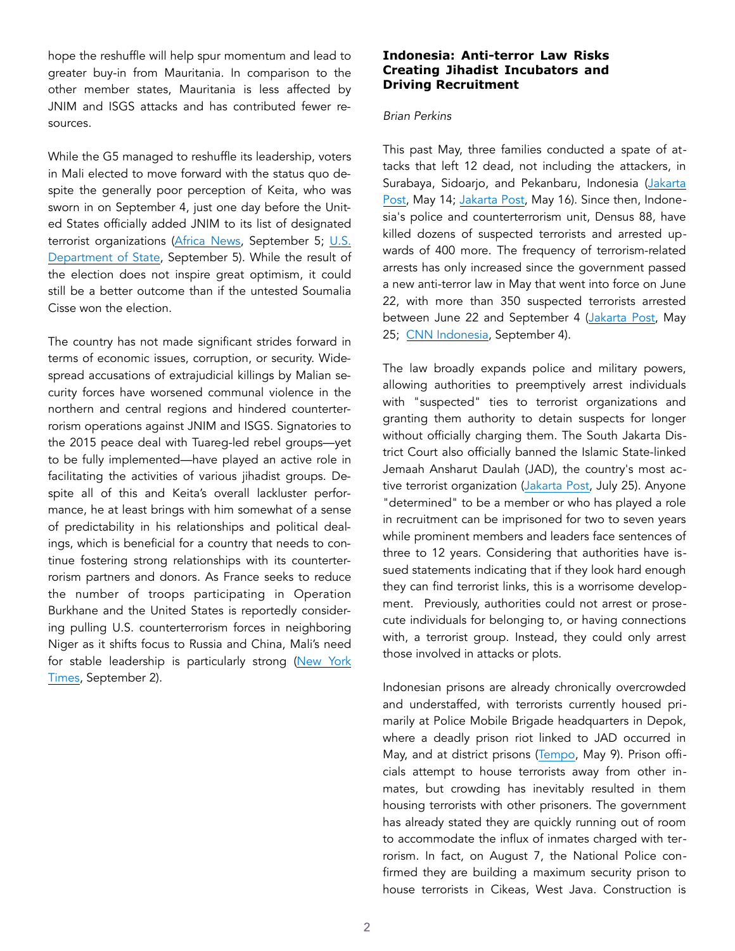hope the reshuffle will help spur momentum and lead to greater buy-in from Mauritania. In comparison to the other member states, Mauritania is less affected by JNIM and ISGS attacks and has contributed fewer resources.

While the G5 managed to reshuffle its leadership, voters in Mali elected to move forward with the status quo despite the generally poor perception of Keita, who was sworn in on September 4, just one day before the United States officially added JNIM to its list of designated terrorist organizations [\(Africa News](http://www.africanews.com/2018/09/05/mali-looking-ahead-at-president-boubacar-keita-s-second-term/), September 5; U.S. [Department of State](https://www.state.gov/r/pa/prs/ps/2018/09/285705.htm), September 5). While the result of the election does not inspire great optimism, it could still be a better outcome than if the untested Soumalia Cisse won the election.

The country has not made significant strides forward in terms of economic issues, corruption, or security. Widespread accusations of extrajudicial killings by Malian security forces have worsened communal violence in the northern and central regions and hindered counterterrorism operations against JNIM and ISGS. Signatories to the 2015 peace deal with Tuareg-led rebel groups—yet to be fully implemented—have played an active role in facilitating the activities of various jihadist groups. Despite all of this and Keita's overall lackluster performance, he at least brings with him somewhat of a sense of predictability in his relationships and political dealings, which is beneficial for a country that needs to continue fostering strong relationships with its counterterrorism partners and donors. As France seeks to reduce the number of troops participating in Operation Burkhane and the United States is reportedly considering pulling U.S. counterterrorism forces in neighboring Niger as it shifts focus to Russia and China, Mali's need for stable leadership is particularly strong [\(New York](https://www.nytimes.com/2018/09/02/world/africa/pentagon-commandos-niger.html)  [Times](https://www.nytimes.com/2018/09/02/world/africa/pentagon-commandos-niger.html), September 2).

#### **Indonesia: Anti-terror Law Risks Creating Jihadist Incubators and Driving Recruitment**

#### *Brian Perkins*

This past May, three families conducted a spate of attacks that left 12 dead, not including the attackers, in Surabaya, Sidoarjo, and Pekanbaru, Indonesia ([Jakarta](http://www.thejakartapost.com/news/2018/05/14/25-killed-in-east-java-attacks-including-13-suicide-bombers.html)  [Post,](http://www.thejakartapost.com/news/2018/05/14/25-killed-in-east-java-attacks-including-13-suicide-bombers.html) May 14; [Jakarta Post](http://www.thejakartapost.com/news/2018/05/16/riau-police-hq-attacked-by-three-men.html), May 16). Since then, Indonesia's police and counterterrorism unit, Densus 88, have killed dozens of suspected terrorists and arrested upwards of 400 more. The frequency of terrorism-related arrests has only increased since the government passed a new anti-terror law in May that went into force on June 22, with more than 350 suspected terrorists arrested between June 22 and September 4 ([Jakarta Post,](http://www.thejakartapost.com/news/2018/05/25/breaking-indonesia-passes-stronger-antiterrorism-law.html) May 25; [CNN Indonesia](https://www.cnnindonesia.com/nasional/20180904102833-12-327392/tiga-bulan-uu-terorisme-polri-ciduk-350-terduga-teroris-jad), September 4).

The law broadly expands police and military powers, allowing authorities to preemptively arrest individuals with "suspected" ties to terrorist organizations and granting them authority to detain suspects for longer without officially charging them. The South Jakarta District Court also officially banned the Islamic State-linked Jemaah Ansharut Daulah (JAD), the country's most ac-tive terrorist organization ([Jakarta Post](http://www.thejakartapost.com/news/2018/07/25/jad-indicted-as-banned-terror-organization.html), July 25). Anyone "determined" to be a member or who has played a role in recruitment can be imprisoned for two to seven years while prominent members and leaders face sentences of three to 12 years. Considering that authorities have issued statements indicating that if they look hard enough they can find terrorist links, this is a worrisome development. Previously, authorities could not arrest or prosecute individuals for belonging to, or having connections with, a terrorist group. Instead, they could only arrest those involved in attacks or plots.

Indonesian prisons are already chronically overcrowded and understaffed, with terrorists currently housed primarily at Police Mobile Brigade headquarters in Depok, where a deadly prison riot linked to JAD occurred in May, and at district prisons ([Tempo,](https://en.tempo.co/read/news/2018/05/09/055918310/DPR-Calls-for-Evaluation-following-Brimob-Prison-Riot) May 9). Prison officials attempt to house terrorists away from other inmates, but crowding has inevitably resulted in them housing terrorists with other prisoners. The government has already stated they are quickly running out of room to accommodate the influx of inmates charged with terrorism. In fact, on August 7, the National Police confirmed they are building a maximum security prison to house terrorists in Cikeas, West Java. Construction is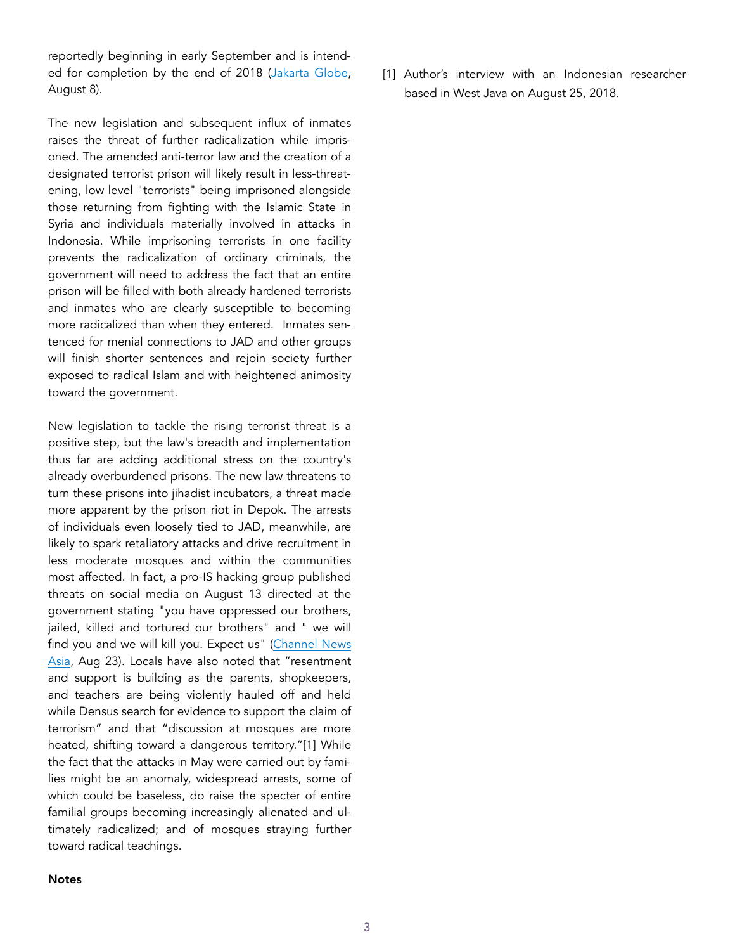reportedly beginning in early September and is intend-ed for completion by the end of 2018 ([Jakarta Globe,](http://jakartaglobe.id/news/police-build-new-detention-center-terrorists/) August 8).

The new legislation and subsequent influx of inmates raises the threat of further radicalization while imprisoned. The amended anti-terror law and the creation of a designated terrorist prison will likely result in less-threatening, low level "terrorists" being imprisoned alongside those returning from fighting with the Islamic State in Syria and individuals materially involved in attacks in Indonesia. While imprisoning terrorists in one facility prevents the radicalization of ordinary criminals, the government will need to address the fact that an entire prison will be filled with both already hardened terrorists and inmates who are clearly susceptible to becoming more radicalized than when they entered. Inmates sentenced for menial connections to JAD and other groups will finish shorter sentences and rejoin society further exposed to radical Islam and with heightened animosity toward the government.

New legislation to tackle the rising terrorist threat is a positive step, but the law's breadth and implementation thus far are adding additional stress on the country's already overburdened prisons. The new law threatens to turn these prisons into jihadist incubators, a threat made more apparent by the prison riot in Depok. The arrests of individuals even loosely tied to JAD, meanwhile, are likely to spark retaliatory attacks and drive recruitment in less moderate mosques and within the communities most affected. In fact, a pro-IS hacking group published threats on social media on August 13 directed at the government stating "you have oppressed our brothers, jailed, killed and tortured our brothers" and " we will find you and we will kill you. Expect us" ([Channel News](https://www.channelnewsasia.com/news/asia/pro-islamic-state-hackers-threaten-terror-attacks-against-10644690)  [Asia,](https://www.channelnewsasia.com/news/asia/pro-islamic-state-hackers-threaten-terror-attacks-against-10644690) Aug 23). Locals have also noted that "resentment and support is building as the parents, shopkeepers, and teachers are being violently hauled off and held while Densus search for evidence to support the claim of terrorism" and that "discussion at mosques are more heated, shifting toward a dangerous territory."[1] While the fact that the attacks in May were carried out by families might be an anomaly, widespread arrests, some of which could be baseless, do raise the specter of entire familial groups becoming increasingly alienated and ultimately radicalized; and of mosques straying further toward radical teachings.

[1] Author's interview with an Indonesian researcher based in West Java on August 25, 2018.

#### **Notes**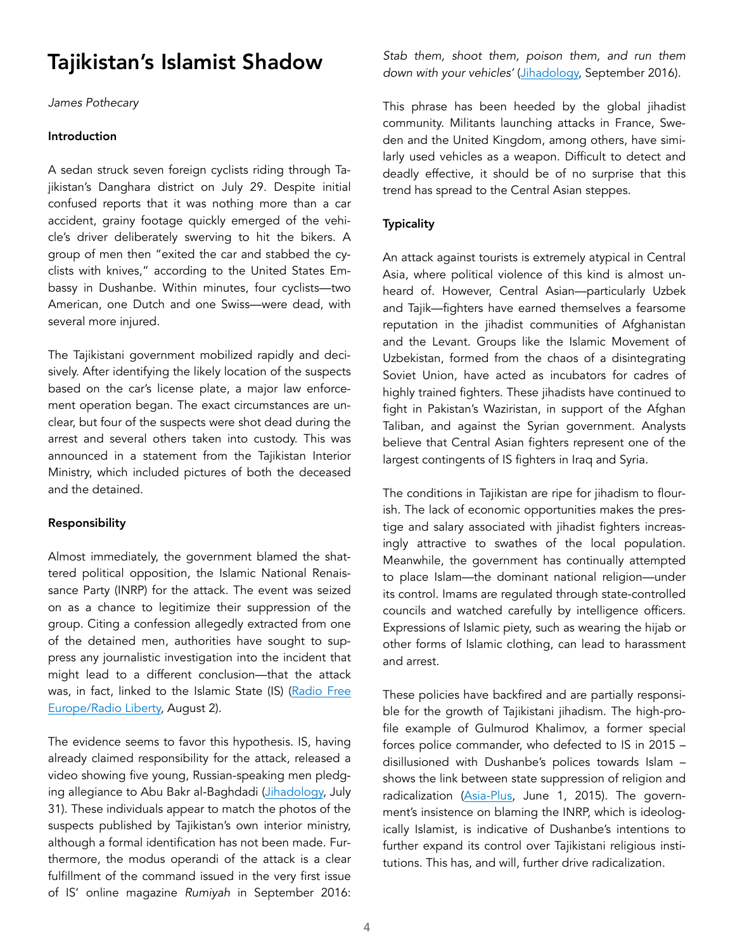## Tajikistan's Islamist Shadow

*James Pothecary* 

#### Introduction

A sedan struck seven foreign cyclists riding through Tajikistan's Danghara district on July 29. Despite initial confused reports that it was nothing more than a car accident, grainy footage quickly emerged of the vehicle's driver deliberately swerving to hit the bikers. A group of men then "exited the car and stabbed the cyclists with knives," according to the United States Embassy in Dushanbe. Within minutes, four cyclists—two American, one Dutch and one Swiss—were dead, with several more injured.

The Tajikistani government mobilized rapidly and decisively. After identifying the likely location of the suspects based on the car's license plate, a major law enforcement operation began. The exact circumstances are unclear, but four of the suspects were shot dead during the arrest and several others taken into custody. This was announced in a statement from the Tajikistan Interior Ministry, which included pictures of both the deceased and the detained.

#### Responsibility

Almost immediately, the government blamed the shattered political opposition, the Islamic National Renaissance Party (INRP) for the attack. The event was seized on as a chance to legitimize their suppression of the group. Citing a confession allegedly extracted from one of the detained men, authorities have sought to suppress any journalistic investigation into the incident that might lead to a different conclusion—that the attack was, in fact, linked to the Islamic State (IS) [\(Radio Free](https://www.rferl.org/a/tajik-police-cyclist-attack-journalists-harassed/29407351.html) [Europe/Radio Liberty,](https://www.rferl.org/a/tajik-police-cyclist-attack-journalists-harassed/29407351.html) August 2).

The evidence seems to favor this hypothesis. IS, having already claimed responsibility for the attack, released a video showing five young, Russian-speaking men pledging allegiance to Abu Bakr al-Baghdadi ([Jihadology,](https://jihadology.net/2018/07/30/tajikistan-cycling-tour-attack/) July 31). These individuals appear to match the photos of the suspects published by Tajikistan's own interior ministry, although a formal identification has not been made. Furthermore, the modus operandi of the attack is a clear fulfillment of the command issued in the very first issue of IS' online magazine *Rumiyah* in September 2016: *Stab them, shoot them, poison them, and run them down with your vehicles'* ([Jihadology,](https://jihadology.net/2016/09/05/the-islamic-state-releases-a-new-magazine-rome-1/) September 2016)*.* 

This phrase has been heeded by the global jihadist community. Militants launching attacks in France, Sweden and the United Kingdom, among others, have similarly used vehicles as a weapon. Difficult to detect and deadly effective, it should be of no surprise that this trend has spread to the Central Asian steppes.

#### **Typicality**

An attack against tourists is extremely atypical in Central Asia, where political violence of this kind is almost unheard of. However, Central Asian—particularly Uzbek and Tajik—fighters have earned themselves a fearsome reputation in the jihadist communities of Afghanistan and the Levant. Groups like the Islamic Movement of Uzbekistan, formed from the chaos of a disintegrating Soviet Union, have acted as incubators for cadres of highly trained fighters. These jihadists have continued to fight in Pakistan's Waziristan, in support of the Afghan Taliban, and against the Syrian government. Analysts believe that Central Asian fighters represent one of the largest contingents of IS fighters in Iraq and Syria.

The conditions in Tajikistan are ripe for jihadism to flourish. The lack of economic opportunities makes the prestige and salary associated with jihadist fighters increasingly attractive to swathes of the local population. Meanwhile, the government has continually attempted to place Islam—the dominant national religion—under its control. Imams are regulated through state-controlled councils and watched carefully by intelligence officers. Expressions of Islamic piety, such as wearing the hijab or other forms of Islamic clothing, can lead to harassment and arrest.

These policies have backfired and are partially responsible for the growth of Tajikistani jihadism. The high-profile example of Gulmurod Khalimov, a former special forces police commander, who defected to IS in 2015 – disillusioned with Dushanbe's polices towards Islam – shows the link between state suppression of religion and radicalization ([Asia-Plus,](https://www.asiaplus.tj/en/news/tajikistan/security/20150601/tajik-law-enforcement-authorities-launches-investigation-former-omon-commander) June 1, 2015). The government's insistence on blaming the INRP, which is ideologically Islamist, is indicative of Dushanbe's intentions to further expand its control over Tajikistani religious institutions. This has, and will, further drive radicalization.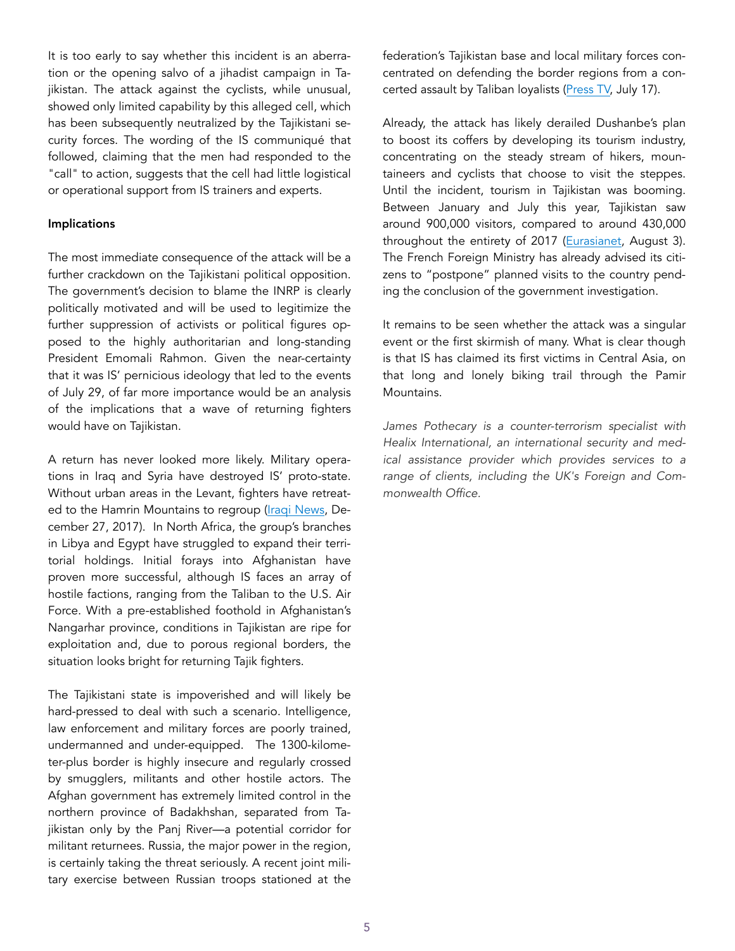It is too early to say whether this incident is an aberration or the opening salvo of a jihadist campaign in Tajikistan. The attack against the cyclists, while unusual, showed only limited capability by this alleged cell, which has been subsequently neutralized by the Tajikistani security forces. The wording of the IS communiqué that followed, claiming that the men had responded to the "call" to action, suggests that the cell had little logistical or operational support from IS trainers and experts.

#### Implications

The most immediate consequence of the attack will be a further crackdown on the Tajikistani political opposition. The government's decision to blame the INRP is clearly politically motivated and will be used to legitimize the further suppression of activists or political figures opposed to the highly authoritarian and long-standing President Emomali Rahmon. Given the near-certainty that it was IS' pernicious ideology that led to the events of July 29, of far more importance would be an analysis of the implications that a wave of returning fighters would have on Tajikistan.

A return has never looked more likely. Military operations in Iraq and Syria have destroyed IS' proto-state. Without urban areas in the Levant, fighters have retreat-ed to the Hamrin Mountains to regroup ([Iraqi News](https://www.iraqinews.com/iraq-war/paramilitary-troops-kill-three-islamic-state-militant/), December 27, 2017). In North Africa, the group's branches in Libya and Egypt have struggled to expand their territorial holdings. Initial forays into Afghanistan have proven more successful, although IS faces an array of hostile factions, ranging from the Taliban to the U.S. Air Force. With a pre-established foothold in Afghanistan's Nangarhar province, conditions in Tajikistan are ripe for exploitation and, due to porous regional borders, the situation looks bright for returning Tajik fighters.

The Tajikistani state is impoverished and will likely be hard-pressed to deal with such a scenario. Intelligence, law enforcement and military forces are poorly trained, undermanned and under-equipped. The 1300-kilometer-plus border is highly insecure and regularly crossed by smugglers, militants and other hostile actors. The Afghan government has extremely limited control in the northern province of Badakhshan, separated from Tajikistan only by the Panj River—a potential corridor for militant returnees. Russia, the major power in the region, is certainly taking the threat seriously. A recent joint military exercise between Russian troops stationed at the federation's Tajikistan base and local military forces concentrated on defending the border regions from a concerted assault by Taliban loyalists ([Press TV,](https://www.presstv.com/DetailFr/2018/07/17/568430/Tajikistan-Russia-drills-Taliban-Afghanistan) July 17).

Already, the attack has likely derailed Dushanbe's plan to boost its coffers by developing its tourism industry, concentrating on the steady stream of hikers, mountaineers and cyclists that choose to visit the steppes. Until the incident, tourism in Tajikistan was booming. Between January and July this year, Tajikistan saw around 900,000 visitors, compared to around 430,000 throughout the entirety of 2017 ([Eurasianet,](https://eurasianet.org/s/killings-in-tajikistan-send-chill-through-tourism-business) August 3). The French Foreign Ministry has already advised its citizens to "postpone" planned visits to the country pending the conclusion of the government investigation.

It remains to be seen whether the attack was a singular event or the first skirmish of many. What is clear though is that IS has claimed its first victims in Central Asia, on that long and lonely biking trail through the Pamir Mountains.

*James Pothecary is a counter-terrorism specialist with Healix International, an international security and medical assistance provider which provides services to a range of clients, including the UK's Foreign and Commonwealth Office.*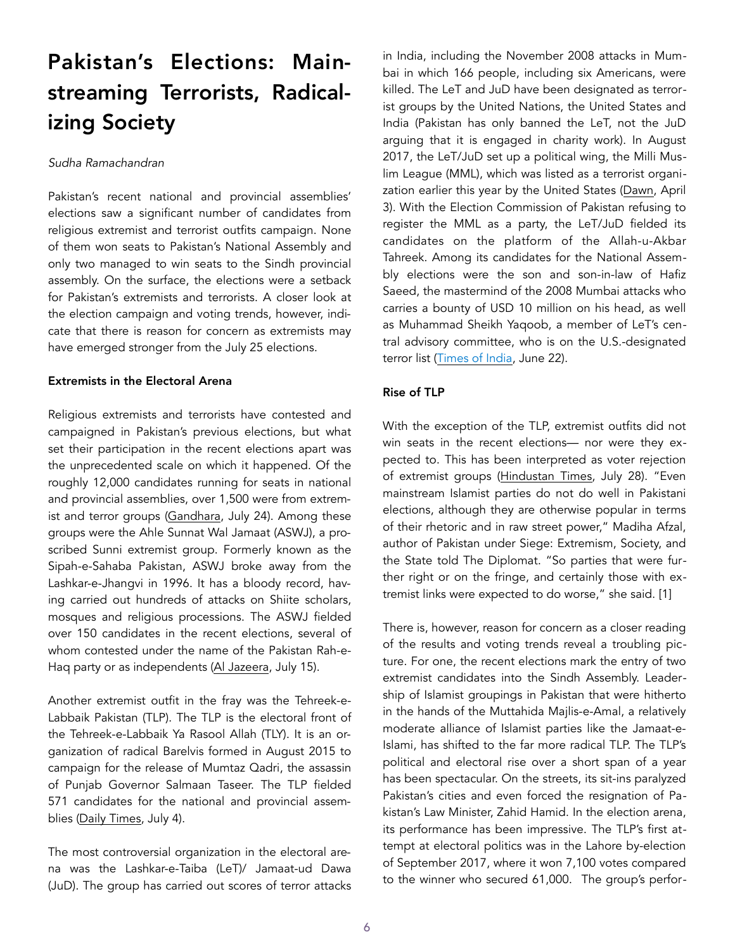# Pakistan's Elections: Mainstreaming Terrorists, Radicalizing Society

#### *Sudha Ramachandran*

Pakistan's recent national and provincial assemblies' elections saw a significant number of candidates from religious extremist and terrorist outfits campaign. None of them won seats to Pakistan's National Assembly and only two managed to win seats to the Sindh provincial assembly. On the surface, the elections were a setback for Pakistan's extremists and terrorists. A closer look at the election campaign and voting trends, however, indicate that there is reason for concern as extremists may have emerged stronger from the July 25 elections.

#### Extremists in the Electoral Arena

Religious extremists and terrorists have contested and campaigned in Pakistan's previous elections, but what set their participation in the recent elections apart was the unprecedented scale on which it happened. Of the roughly 12,000 candidates running for seats in national and provincial assemblies, over 1,500 were from extremist and terror groups ([Gandhara,](https://gandhara.rferl.org/a/terrorist-turned-candidate-pakistani-extremists-contest-national-elections/29388432.html) July 24). Among these groups were the Ahle Sunnat Wal Jamaat (ASWJ), a proscribed Sunni extremist group. Formerly known as the Sipah-e-Sahaba Pakistan, ASWJ broke away from the Lashkar-e-Jhangvi in 1996. It has a bloody record, having carried out hundreds of attacks on Shiite scholars, mosques and religious processions. The ASWJ fielded over 150 candidates in the recent elections, several of whom contested under the name of the Pakistan Rah-e-Haq party or as independents [\(Al Jazeera](https://www.aljazeera.com/indepth/features/quetta-hazaras-despair-religious-supremacists-contest-election-180712222735530.html), July 15).

Another extremist outfit in the fray was the Tehreek-e-Labbaik Pakistan (TLP). The TLP is the electoral front of the Tehreek-e-Labbaik Ya Rasool Allah (TLY). It is an organization of radical Barelvis formed in August 2015 to campaign for the release of Mumtaz Qadri, the assassin of Punjab Governor Salmaan Taseer. The TLP fielded 571 candidates for the national and provincial assemblies [\(Daily Times,](https://dailytimes.com.pk/262291/571-tlp-candidates-in-election-race/) July 4).

The most controversial organization in the electoral arena was the Lashkar-e-Taiba (LeT)/ Jamaat-ud Dawa (JuD). The group has carried out scores of terror attacks in India, including the November 2008 attacks in Mumbai in which 166 people, including six Americans, were killed. The LeT and JuD have been designated as terrorist groups by the United Nations, the United States and India (Pakistan has only banned the LeT, not the JuD arguing that it is engaged in charity work). In August 2017, the LeT/JuD set up a political wing, the Milli Muslim League (MML), which was listed as a terrorist organization earlier this year by the United States [\(Dawn,](https://www.dawn.com/news/1399259) April 3). With the Election Commission of Pakistan refusing to register the MML as a party, the LeT/JuD fielded its candidates on the platform of the Allah-u-Akbar Tahreek. Among its candidates for the National Assembly elections were the son and son-in-law of Hafiz Saeed, the mastermind of the 2008 Mumbai attacks who carries a bounty of USD 10 million on his head, as well as Muhammad Sheikh Yaqoob, a member of LeT's central advisory committee, who is on the U.S.-designated terror list [\(Times of India,](https://timesofindia.indiatimes.com/world/pakistan/hafiz-saeeds-son-son-in-law-among-265-jud-candidates-in-pak-elections/articleshow/64682007.cms) June 22).

#### Rise of TLP

With the exception of the TLP, extremist outfits did not win seats in the recent elections— nor were they expected to. This has been interpreted as voter rejection of extremist groups ([Hindustan Times,](https://www.hindustantimes.com/world-news/extremist-groups-rejected-hafiz-saeed-backed-party-fails-to-win-a-single-seat-in-pakistan-election-results/story-tzdOImlOF7uJ0u8fuCSHxN.html) July 28). "Even mainstream Islamist parties do not do well in Pakistani elections, although they are otherwise popular in terms of their rhetoric and in raw street power," Madiha Afzal, author of Pakistan under Siege: Extremism, Society, and the State told The Diplomat. "So parties that were further right or on the fringe, and certainly those with extremist links were expected to do worse," she said. [1]

There is, however, reason for concern as a closer reading of the results and voting trends reveal a troubling picture. For one, the recent elections mark the entry of two extremist candidates into the Sindh Assembly. Leadership of Islamist groupings in Pakistan that were hitherto in the hands of the Muttahida Majlis-e-Amal, a relatively moderate alliance of Islamist parties like the Jamaat-e-Islami, has shifted to the far more radical TLP. The TLP's political and electoral rise over a short span of a year has been spectacular. On the streets, its sit-ins paralyzed Pakistan's cities and even forced the resignation of Pakistan's Law Minister, Zahid Hamid. In the election arena, its performance has been impressive. The TLP's first attempt at electoral politics was in the Lahore by-election of September 2017, where it won 7,100 votes compared to the winner who secured 61,000. The group's perfor-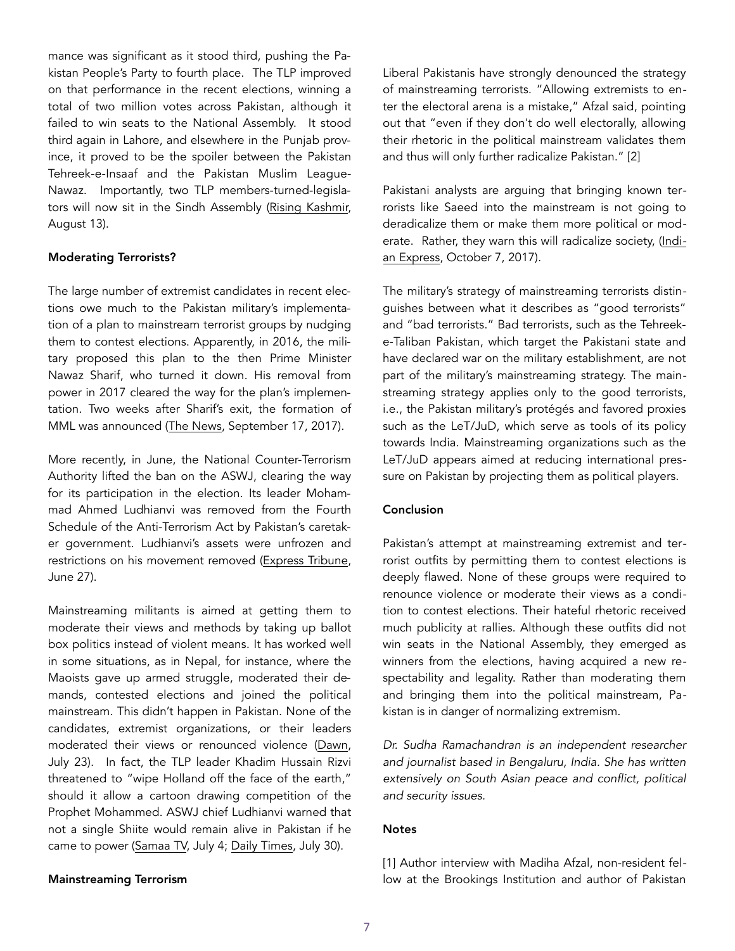mance was significant as it stood third, pushing the Pakistan People's Party to fourth place. The TLP improved on that performance in the recent elections, winning a total of two million votes across Pakistan, although it failed to win seats to the National Assembly. It stood third again in Lahore, and elsewhere in the Punjab province, it proved to be the spoiler between the Pakistan Tehreek-e-Insaaf and the Pakistan Muslim League-Nawaz. Importantly, two TLP members-turned-legislators will now sit in the Sindh Assembly ([Rising Kashmir,](http://www.risingkashmir.com/article/rise-of-the-radical-4496.html) August 13).

#### Moderating Terrorists?

The large number of extremist candidates in recent elections owe much to the Pakistan military's implementation of a plan to mainstream terrorist groups by nudging them to contest elections. Apparently, in 2016, the military proposed this plan to the then Prime Minister Nawaz Sharif, who turned it down. His removal from power in 2017 cleared the way for the plan's implementation. Two weeks after Sharif's exit, the formation of MML was announced [\(The News,](https://www.thenews.com.pk/print/230555-Plan-to-bring-militants-to-mainstream-under-way) September 17, 2017).

More recently, in June, the National Counter-Terrorism Authority lifted the ban on the ASWJ, clearing the way for its participation in the election. Its leader Mohammad Ahmed Ludhianvi was removed from the Fourth Schedule of the Anti-Terrorism Act by Pakistan's caretaker government. Ludhianvi's assets were unfrozen and restrictions on his movement removed [\(Express Tribune,](https://tribune.com.pk/story/1744294/1-govt-lifts-ban-aswj-unfreezes-assets-chief-ahmed-ludhianvi/) June 27).

Mainstreaming militants is aimed at getting them to moderate their views and methods by taking up ballot box politics instead of violent means. It has worked well in some situations, as in Nepal, for instance, where the Maoists gave up armed struggle, moderated their demands, contested elections and joined the political mainstream. This didn't happen in Pakistan. None of the candidates, extremist organizations, or their leaders moderated their views or renounced violence ([Dawn,](https://www.dawn.com/news/1421901) July 23). In fact, the TLP leader Khadim Hussain Rizvi threatened to "wipe Holland off the face of the earth," should it allow a cartoon drawing competition of the Prophet Mohammed. ASWJ chief Ludhianvi warned that not a single Shiite would remain alive in Pakistan if he came to power [\(Samaa TV,](https://www.samaa.tv/video/2018/07/if-i-had-the-atom-bomb-i-would-wipe-out-holland-khadim-hussain-rizvi/) July 4; [Daily Times,](https://dailytimes.com.pk/275236/what-about-the-minorities-2/) July 30).

#### Mainstreaming Terrorism

Liberal Pakistanis have strongly denounced the strategy of mainstreaming terrorists. "Allowing extremists to enter the electoral arena is a mistake," Afzal said, pointing out that "even if they don't do well electorally, allowing their rhetoric in the political mainstream validates them and thus will only further radicalize Pakistan." [2]

Pakistani analysts are arguing that bringing known terrorists like Saeed into the mainstream is not going to deradicalize them or make them more political or moderate. Rather, they warn this will radicalize society, ([Indi](https://indianexpress.com/article/opinion/columns/pakistan-hafiz-saeed-military-terror-funding-lashkar-mainstreaming-terror-4878135/)[an Express,](https://indianexpress.com/article/opinion/columns/pakistan-hafiz-saeed-military-terror-funding-lashkar-mainstreaming-terror-4878135/) October 7, 2017).

The military's strategy of mainstreaming terrorists distinguishes between what it describes as "good terrorists" and "bad terrorists." Bad terrorists, such as the Tehreeke-Taliban Pakistan, which target the Pakistani state and have declared war on the military establishment, are not part of the military's mainstreaming strategy. The mainstreaming strategy applies only to the good terrorists, i.e., the Pakistan military's protégés and favored proxies such as the LeT/JuD, which serve as tools of its policy towards India. Mainstreaming organizations such as the LeT/JuD appears aimed at reducing international pressure on Pakistan by projecting them as political players.

#### Conclusion

Pakistan's attempt at mainstreaming extremist and terrorist outfits by permitting them to contest elections is deeply flawed. None of these groups were required to renounce violence or moderate their views as a condition to contest elections. Their hateful rhetoric received much publicity at rallies. Although these outfits did not win seats in the National Assembly, they emerged as winners from the elections, having acquired a new respectability and legality. Rather than moderating them and bringing them into the political mainstream, Pakistan is in danger of normalizing extremism.

*Dr. Sudha Ramachandran is an independent researcher and journalist based in Bengaluru, India. She has written extensively on South Asian peace and conflict, political and security issues.* 

#### **Notes**

[1] Author interview with Madiha Afzal, non-resident fellow at the Brookings Institution and author of Pakistan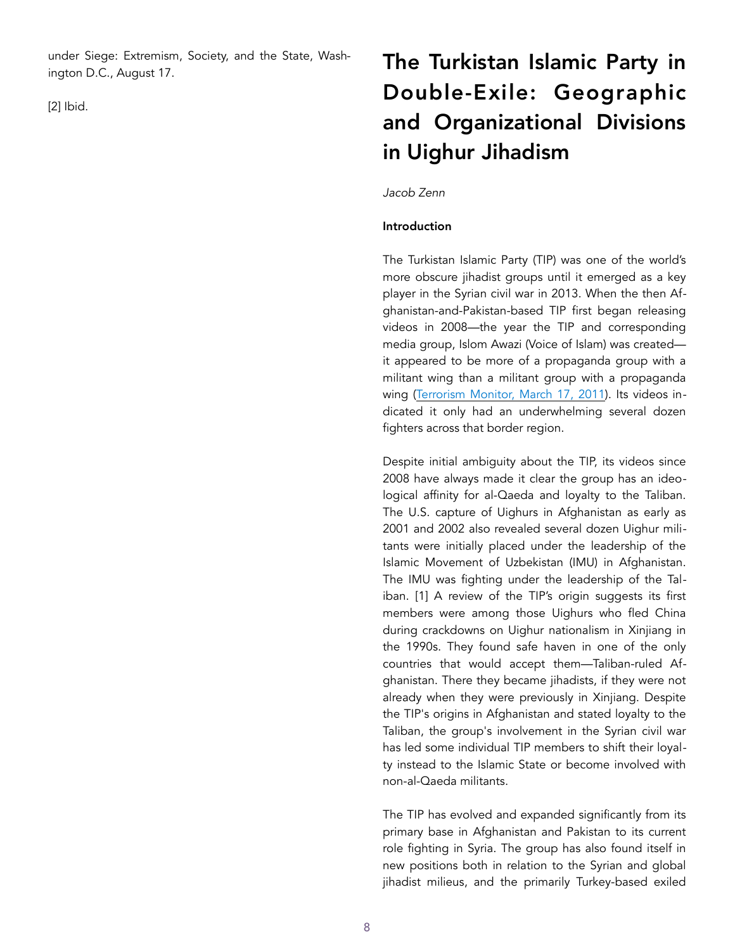under Siege: Extremism, Society, and the State, Washington D.C., August 17.

[2] Ibid.

# The Turkistan Islamic Party in Double-Exile: Geographic and Organizational Divisions in Uighur Jihadism

#### *Jacob Zenn*

#### Introduction

The Turkistan Islamic Party (TIP) was one of the world's more obscure jihadist groups until it emerged as a key player in the Syrian civil war in 2013. When the then Afghanistan-and-Pakistan-based TIP first began releasing videos in 2008—the year the TIP and corresponding media group, Islom Awazi (Voice of Islam) was created it appeared to be more of a propaganda group with a militant wing than a militant group with a propaganda wing ([Terrorism Monitor, March 17, 2011](https://jamestown.org/program/jihad-in-china-marketing-the-turkistan-islamic-party/)). Its videos indicated it only had an underwhelming several dozen fighters across that border region.

Despite initial ambiguity about the TIP, its videos since 2008 have always made it clear the group has an ideological affinity for al-Qaeda and loyalty to the Taliban. The U.S. capture of Uighurs in Afghanistan as early as 2001 and 2002 also revealed several dozen Uighur militants were initially placed under the leadership of the Islamic Movement of Uzbekistan (IMU) in Afghanistan. The IMU was fighting under the leadership of the Taliban. [1] A review of the TIP's origin suggests its first members were among those Uighurs who fled China during crackdowns on Uighur nationalism in Xinjiang in the 1990s. They found safe haven in one of the only countries that would accept them—Taliban-ruled Afghanistan. There they became jihadists, if they were not already when they were previously in Xinjiang. Despite the TIP's origins in Afghanistan and stated loyalty to the Taliban, the group's involvement in the Syrian civil war has led some individual TIP members to shift their loyalty instead to the Islamic State or become involved with non-al-Qaeda militants.

The TIP has evolved and expanded significantly from its primary base in Afghanistan and Pakistan to its current role fighting in Syria. The group has also found itself in new positions both in relation to the Syrian and global jihadist milieus, and the primarily Turkey-based exiled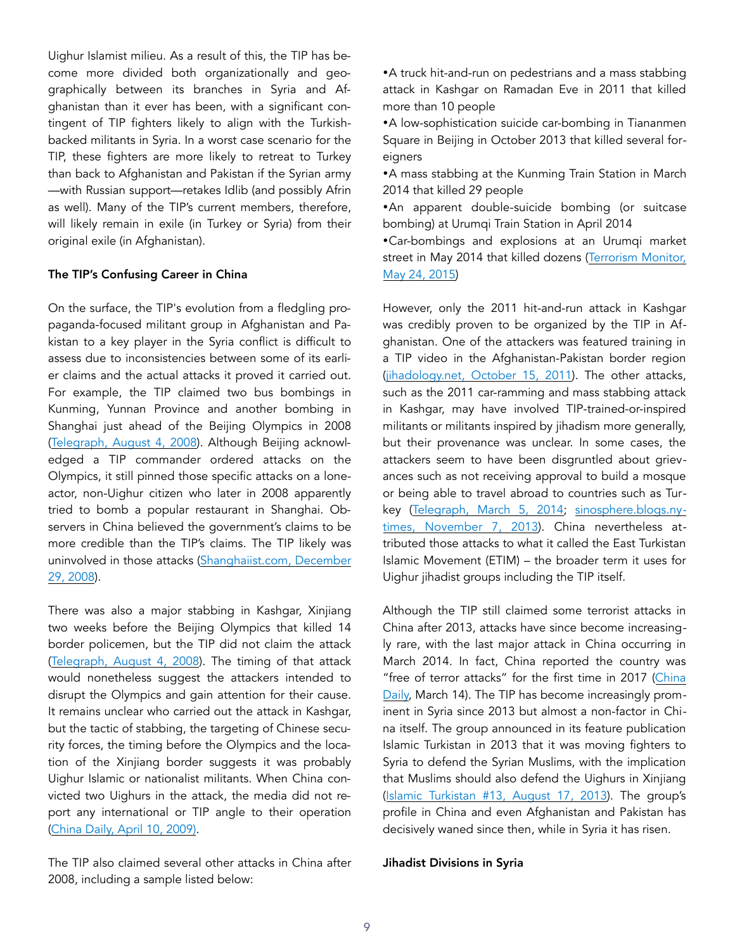Uighur Islamist milieu. As a result of this, the TIP has become more divided both organizationally and geographically between its branches in Syria and Afghanistan than it ever has been, with a significant contingent of TIP fighters likely to align with the Turkishbacked militants in Syria. In a worst case scenario for the TIP, these fighters are more likely to retreat to Turkey than back to Afghanistan and Pakistan if the Syrian army —with Russian support—retakes Idlib (and possibly Afrin as well). Many of the TIP's current members, therefore, will likely remain in exile (in Turkey or Syria) from their original exile (in Afghanistan).

#### The TIP's Confusing Career in China

On the surface, the TIP's evolution from a fledgling propaganda-focused militant group in Afghanistan and Pakistan to a key player in the Syria conflict is difficult to assess due to inconsistencies between some of its earlier claims and the actual attacks it proved it carried out. For example, the TIP claimed two bus bombings in Kunming, Yunnan Province and another bombing in Shanghai just ahead of the Beijing Olympics in 2008 ([Telegraph, August 4, 2008](https://www.telegraph.co.uk/sport/olympics/2499084/Beijing-Olympics-Security-stepped-up-after-terror-attack-kills-16-Chinese-policemen.html)). Although Beijing acknowledged a TIP commander ordered attacks on the Olympics, it still pinned those specific attacks on a loneactor, non-Uighur citizen who later in 2008 apparently tried to bomb a popular restaurant in Shanghai. Observers in China believed the government's claims to be more credible than the TIP's claims. The TIP likely was uninvolved in those attacks ([Shanghaiist.com, December](http://shanghaiist.com/2008/12/29/the_mysterious_deathbed_confession/)  [29, 2008\)](http://shanghaiist.com/2008/12/29/the_mysterious_deathbed_confession/).

There was also a major stabbing in Kashgar, Xinjiang two weeks before the Beijing Olympics that killed 14 border policemen, but the TIP did not claim the attack ([Telegraph, August 4, 2008\)](https://www.telegraph.co.uk/sport/olympics/2499084/Beijing-Olympics-Security-stepped-up-after-terror-attack-kills-16-Chinese-policemen.html). The timing of that attack would nonetheless suggest the attackers intended to disrupt the Olympics and gain attention for their cause. It remains unclear who carried out the attack in Kashgar, but the tactic of stabbing, the targeting of Chinese security forces, the timing before the Olympics and the location of the Xinjiang border suggests it was probably Uighur Islamic or nationalist militants. When China convicted two Uighurs in the attack, the media did not report any international or TIP angle to their operation ([China Daily, April 10, 2009\)](http://www.chinadaily.com.cn/china/2009-04/10/content_7664649.htm).

The TIP also claimed several other attacks in China after 2008, including a sample listed below:

•A truck hit-and-run on pedestrians and a mass stabbing attack in Kashgar on Ramadan Eve in 2011 that killed more than 10 people

•A low-sophistication suicide car-bombing in Tiananmen Square in Beijing in October 2013 that killed several foreigners

•A mass stabbing at the Kunming Train Station in March 2014 that killed 29 people

•An apparent double-suicide bombing (or suitcase bombing) at Urumqi Train Station in April 2014

•Car-bombings and explosions at an Urumqi market street in May 2014 that killed dozens (Terrorism Monitor, [May 24, 2015\)](http://www.jamestown.org/single/?tx_ttnews%255Btt_news%255D=43968&no_cache=1%22%20%5Cl%20%22.Vp8iOVN97I0)

However, only the 2011 hit-and-run attack in Kashgar was credibly proven to be organized by the TIP in Afghanistan. One of the attackers was featured training in a TIP video in the Afghanistan-Pakistan border region ([jihadology.net, October 15, 2011\)](https://jihadology.net/2011/10/15/%E1%B9%A3awt-al-islam-media-foundation-presents-a-new-video-message-from-the-amir-of-%E1%B8%A5izb-al-islami-al-turkistani-turkistan-islamic-party-shaykh-%E2%80%98abd-al-shakur-damala-on-the-occas/). The other attacks, such as the 2011 car-ramming and mass stabbing attack in Kashgar, may have involved TIP-trained-or-inspired militants or militants inspired by jihadism more generally, but their provenance was unclear. In some cases, the attackers seem to have been disgruntled about grievances such as not receiving approval to build a mosque or being able to travel abroad to countries such as Turkey ([Telegraph, March 5, 2014;](https://www.telegraph.co.uk/news/worldnews/asia/china/10677244/Kunming-knife-gang-tried-to-leave-China-before-attack.html) [sinosphere.blogs.ny](https://sinosphere.blogs.nytimes.com/2013/11/07/tiananmen-attack-linked-to-police-raid-on-a-mosque-in-xinjiang/)[times, November 7, 2013\)](https://sinosphere.blogs.nytimes.com/2013/11/07/tiananmen-attack-linked-to-police-raid-on-a-mosque-in-xinjiang/). China nevertheless attributed those attacks to what it called the East Turkistan Islamic Movement (ETIM) – the broader term it uses for Uighur jihadist groups including the TIP itself.

Although the TIP still claimed some terrorist attacks in China after 2013, attacks have since become increasingly rare, with the last major attack in China occurring in March 2014. In fact, China reported the country was "free of terror attacks" for the first time in 2017 ([China](http://www.chinadaily.com.cn/a/201803/14/WS5aa85540a3106e7dcc1416ca.html)  [Daily,](http://www.chinadaily.com.cn/a/201803/14/WS5aa85540a3106e7dcc1416ca.html) March 14). The TIP has become increasingly prominent in Syria since 2013 but almost a non-factor in China itself. The group announced in its feature publication Islamic Turkistan in 2013 that it was moving fighters to Syria to defend the Syrian Muslims, with the implication that Muslims should also defend the Uighurs in Xinjiang ([Islamic Turkistan #13, August 17, 2013\)](https://jihadology.net/2013/08/17/%E1%B9%A3awt-al-islam-presents-issue-13-of-%E1%B8%A5izb-al-islami-al-turkistanis-turkistan-islamic-party-magazine-turkistan-al-islamiyyah/). The group's profile in China and even Afghanistan and Pakistan has decisively waned since then, while in Syria it has risen.

#### Jihadist Divisions in Syria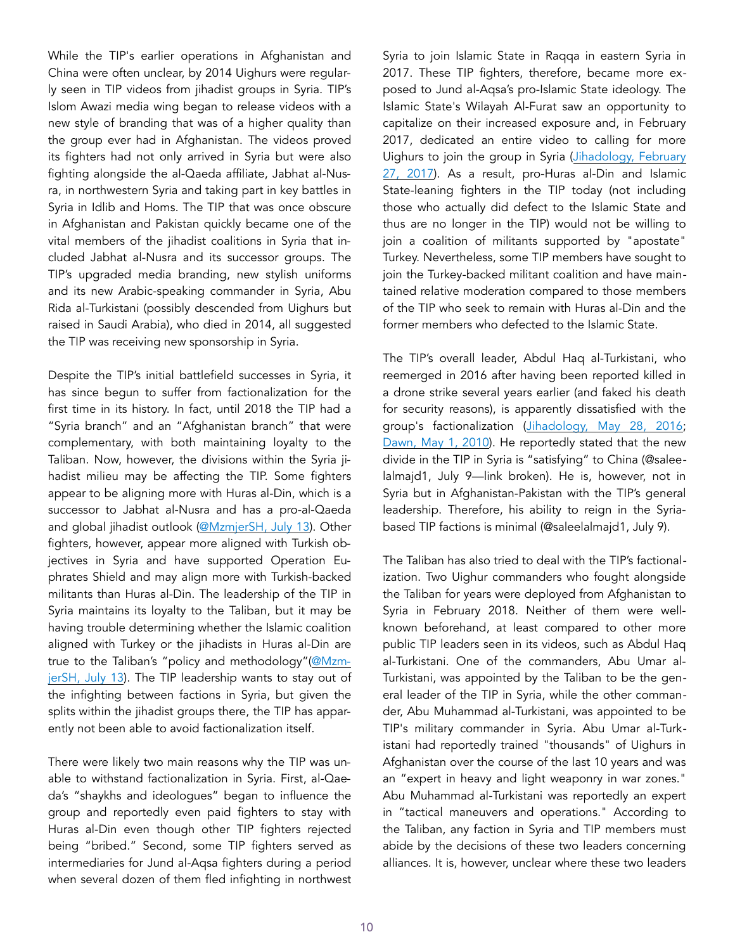While the TIP's earlier operations in Afghanistan and China were often unclear, by 2014 Uighurs were regularly seen in TIP videos from jihadist groups in Syria. TIP's Islom Awazi media wing began to release videos with a new style of branding that was of a higher quality than the group ever had in Afghanistan. The videos proved its fighters had not only arrived in Syria but were also fighting alongside the al-Qaeda affiliate, Jabhat al-Nusra, in northwestern Syria and taking part in key battles in Syria in Idlib and Homs. The TIP that was once obscure in Afghanistan and Pakistan quickly became one of the vital members of the jihadist coalitions in Syria that included Jabhat al-Nusra and its successor groups. The TIP's upgraded media branding, new stylish uniforms and its new Arabic-speaking commander in Syria, Abu Rida al-Turkistani (possibly descended from Uighurs but raised in Saudi Arabia), who died in 2014, all suggested the TIP was receiving new sponsorship in Syria.

Despite the TIP's initial battlefield successes in Syria, it has since begun to suffer from factionalization for the first time in its history. In fact, until 2018 the TIP had a "Syria branch" and an "Afghanistan branch" that were complementary, with both maintaining loyalty to the Taliban. Now, however, the divisions within the Syria jihadist milieu may be affecting the TIP. Some fighters appear to be aligning more with Huras al-Din, which is a successor to Jabhat al-Nusra and has a pro-al-Qaeda and global jihadist outlook [\(@MzmjerSH, July 13\)](https://twitter.com/MzmjerSh). Other fighters, however, appear more aligned with Turkish objectives in Syria and have supported Operation Euphrates Shield and may align more with Turkish-backed militants than Huras al-Din. The leadership of the TIP in Syria maintains its loyalty to the Taliban, but it may be having trouble determining whether the Islamic coalition aligned with Turkey or the jihadists in Huras al-Din are true to the Taliban's "policy and methodology"([@Mzm](https://twitter.com/MzmjerSh)[jerSH, July 13](https://twitter.com/MzmjerSh)). The TIP leadership wants to stay out of the infighting between factions in Syria, but given the splits within the jihadist groups there, the TIP has apparently not been able to avoid factionalization itself.

There were likely two main reasons why the TIP was unable to withstand factionalization in Syria. First, al-Qaeda's "shaykhs and ideologues" began to influence the group and reportedly even paid fighters to stay with Huras al-Din even though other TIP fighters rejected being "bribed." Second, some TIP fighters served as intermediaries for Jund al-Aqsa fighters during a period when several dozen of them fled infighting in northwest

Syria to join Islamic State in Raqqa in eastern Syria in 2017. These TIP fighters, therefore, became more exposed to Jund al-Aqsa's pro-Islamic State ideology. The Islamic State's Wilayah Al-Furat saw an opportunity to capitalize on their increased exposure and, in February 2017, dedicated an entire video to calling for more Uighurs to join the group in Syria ([Jihadology, February](https://jihadology.net/2017/02/27/new-video-message-from-the-islamic-state-it-is-those-who-are-the-truthful-coverage-of-the-life-of-emigrants-from-eastern-turkistan-in-the-land-of-the-caliphate-wilayat-al-furat/)  [27, 2017\)](https://jihadology.net/2017/02/27/new-video-message-from-the-islamic-state-it-is-those-who-are-the-truthful-coverage-of-the-life-of-emigrants-from-eastern-turkistan-in-the-land-of-the-caliphate-wilayat-al-furat/). As a result, pro-Huras al-Din and Islamic State-leaning fighters in the TIP today (not including those who actually did defect to the Islamic State and thus are no longer in the TIP) would not be willing to join a coalition of militants supported by "apostate" Turkey. Nevertheless, some TIP members have sought to join the Turkey-backed militant coalition and have maintained relative moderation compared to those members of the TIP who seek to remain with Huras al-Din and the former members who defected to the Islamic State.

The TIP's overall leader, Abdul Haq al-Turkistani, who reemerged in 2016 after having been reported killed in a drone strike several years earlier (and faked his death for security reasons), is apparently dissatisfied with the group's factionalization ([Jihadology, May 28, 2016;](https://jihadology.net/2016/05/28/new-video-message-from-%E1%B8%A5izb-al-islami-al-turkistani-in-bilad-al-sham-special-interview-with-the-leader-shaykh-abd-al-%E1%B8%A5aqq/) [Dawn, May 1, 2010\)](https://www.dawn.com/news/963902). He reportedly stated that the new divide in the TIP in Syria is "satisfying" to China (@saleelalmajd1, July 9—link broken). He is, however, not in Syria but in Afghanistan-Pakistan with the TIP's general leadership. Therefore, his ability to reign in the Syriabased TIP factions is minimal (@saleelalmajd1, July 9).

The Taliban has also tried to deal with the TIP's factionalization. Two Uighur commanders who fought alongside the Taliban for years were deployed from Afghanistan to Syria in February 2018. Neither of them were wellknown beforehand, at least compared to other more public TIP leaders seen in its videos, such as Abdul Haq al-Turkistani. One of the commanders, Abu Umar al-Turkistani, was appointed by the Taliban to be the general leader of the TIP in Syria, while the other commander, Abu Muhammad al-Turkistani, was appointed to be TIP's military commander in Syria. Abu Umar al-Turkistani had reportedly trained "thousands" of Uighurs in Afghanistan over the course of the last 10 years and was an "expert in heavy and light weaponry in war zones." Abu Muhammad al-Turkistani was reportedly an expert in "tactical maneuvers and operations." According to the Taliban, any faction in Syria and TIP members must abide by the decisions of these two leaders concerning alliances. It is, however, unclear where these two leaders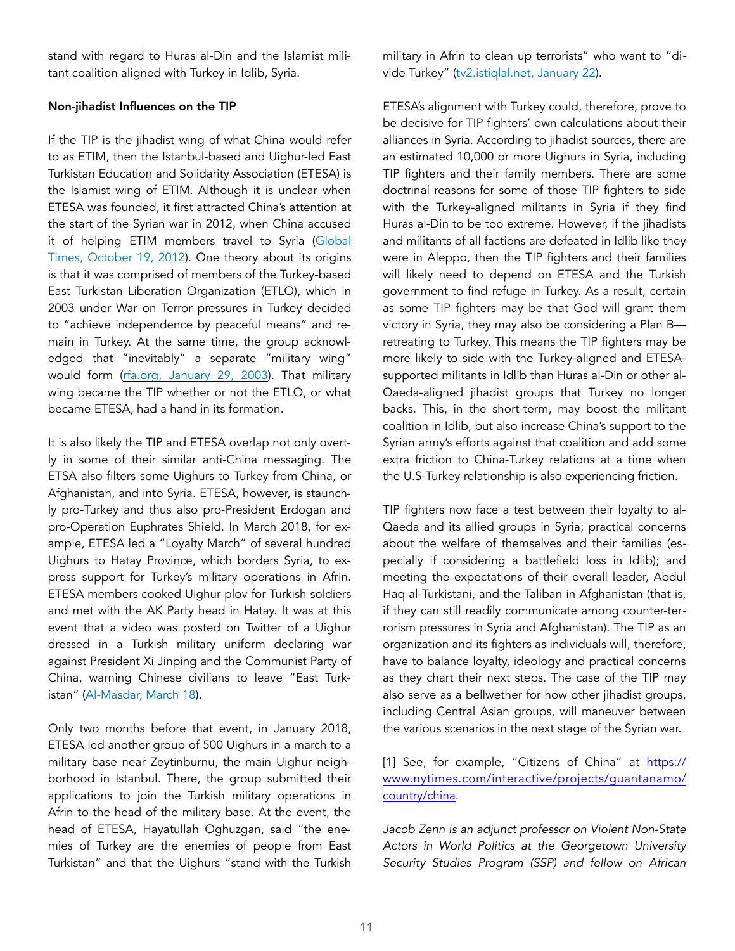stand with regard to Huras al-Din and the Islamist militant coalition aligned with Turkey in Idlib, Syria.

#### Non-jihadist Influences on the TIP

If the TIP is the jihadist wing of what China would refer to as ETIM, then the Istanbul-based and Uighur-led East Turkistan Education and Solidarity Association (ETESA) is the Islamist wing of ETIM. Although it is unclear when ETESA was founded, it first attracted China's attention at the start of the Syrian war in 2012, when China accused it of helping ETIM members travel to Syria (Global [Times, October 19, 2012](http://www.globaltimes.cn/content/740936.shtml)). One theory about its origins is that it was comprised of members of the Turkey-based East Turkistan Liberation Organization (ETLO), which in 2003 under War on Terror pressures in Turkey decided to "achieve independence by peaceful means" and remain in Turkey. At the same time, the group acknowledged that "inevitably" a separate "military wing" would form ([rfa.org, January 29, 2003](https://www.rfa.org/english/news/97878-20030129.html)). That military wing became the TIP whether or not the ETLO, or what became ETESA, had a hand in its formation.

It is also likely the TIP and ETESA overlap not only overtly in some of their similar anti-China messaging. The ETSA also filters some Uighurs to Turkey from China, or Afghanistan, and into Syria. ETESA, however, is staunchly pro-Turkey and thus also pro-President Erdogan and pro-Operation Euphrates Shield. In March 2018, for example, ETESA led a "Loyalty March" of several hundred Uighurs to Hatay Province, which borders Syria, to express support for Turkey's military operations in Afrin. ETESA members cooked Uighur plov for Turkish soldiers and met with the AK Party head in Hatay. It was at this event that a video was posted on Twitter of a Uighur dressed in a Turkish military uniform declaring war against President Xi Jinping and the Communist Party of China, warning Chinese civilians to leave "East Turkistan" [\(Al-Masdar, March 18](https://www.almasdarnews.com/article/uyghur-militant-filmed-with-turkish-backed-rebels-near-afrin/)).

Only two months before that event, in January 2018, ETESA led another group of 500 Uighurs in a march to a military base near Zeytinburnu, the main Uighur neighborhood in Istanbul. There, the group submitted their applications to join the Turkish military operations in Afrin to the head of the military base. At the event, the head of ETESA, Hayatullah Oghuzgan, said "the enemies of Turkey are the enemies of people from East Turkistan" and that the Uighurs "stand with the Turkish military in Afrin to clean up terrorists" who want to "divide Turkey" [\(tv2.istiqlal.net, January 22\)](http://tv2.istiqlal.net/).

ETESA's alignment with Turkey could, therefore, prove to be decisive for TIP fighters' own calculations about their alliances in Syria. According to jihadist sources, there are an estimated 10,000 or more Uighurs in Syria, including TIP fighters and their family members. There are some doctrinal reasons for some of those TIP fighters to side with the Turkey-aligned militants in Syria if they find Huras al-Din to be too extreme. However, if the jihadists and militants of all factions are defeated in Idlib like they were in Aleppo, then the TIP fighters and their families will likely need to depend on ETESA and the Turkish government to find refuge in Turkey. As a result, certain as some TIP fighters may be that God will grant them victory in Syria, they may also be considering a Plan B retreating to Turkey. This means the TIP fighters may be more likely to side with the Turkey-aligned and ETESAsupported militants in Idlib than Huras al-Din or other al-Qaeda-aligned jihadist groups that Turkey no longer backs. This, in the short-term, may boost the militant coalition in Idlib, but also increase China's support to the Syrian army's efforts against that coalition and add some extra friction to China-Turkey relations at a time when the U.S-Turkey relationship is also experiencing friction.

TIP fighters now face a test between their loyalty to al-Qaeda and its allied groups in Syria; practical concerns about the welfare of themselves and their families (especially if considering a battlefield loss in Idlib); and meeting the expectations of their overall leader, Abdul Haq al-Turkistani, and the Taliban in Afghanistan (that is, if they can still readily communicate among counter-terrorism pressures in Syria and Afghanistan). The TIP as an organization and its fighters as individuals will, therefore, have to balance loyalty, ideology and practical concerns as they chart their next steps. The case of the TIP may also serve as a bellwether for how other jihadist groups, including Central Asian groups, will maneuver between the various scenarios in the next stage of the Syrian war.

[1] See, for example, "Citizens of China" at [https://](https://www.nytimes.com/interactive/projects/guantanamo/country/china) [www.nytimes.com/interactive/projects/guantanamo/](https://www.nytimes.com/interactive/projects/guantanamo/country/china) [country/china.](https://www.nytimes.com/interactive/projects/guantanamo/country/china)

*Jacob Zenn is an adjunct professor on Violent Non-State Actors in World Politics at the Georgetown University Security Studies Program (SSP) and fellow on African*